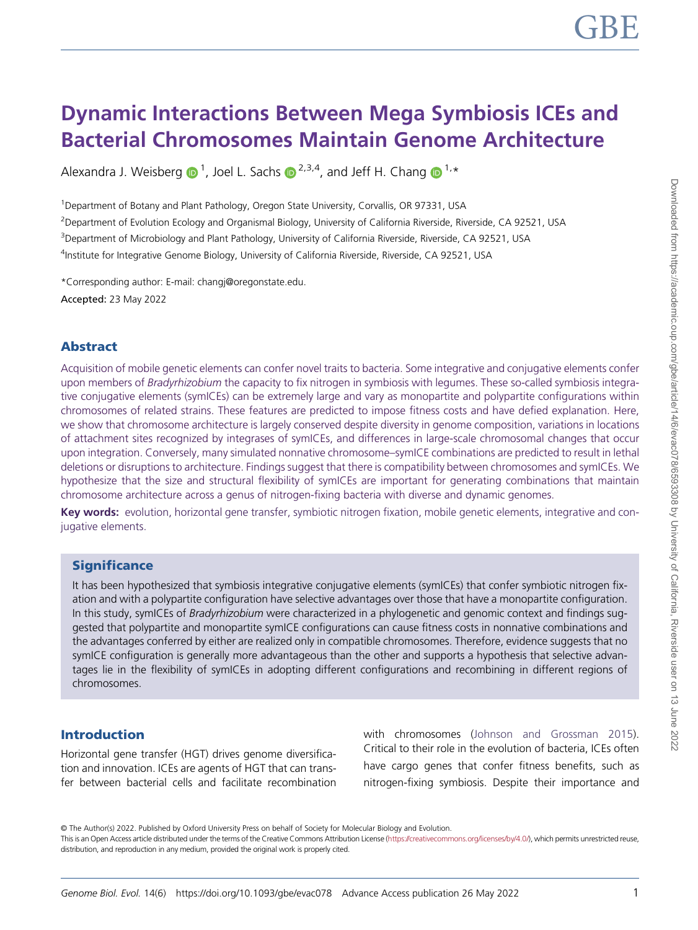# Dynamic Interactions Between Mega Symbiosis ICEs and Bacterial Chromosomes Maintain Genome Architecture

Alexandra J. Weisberg  $\bigcirc 1$ , Joel L. Sachs  $\bigcirc 2,3,4$ , and Jeff H. Chang  $\bigcirc 1,*$ 

<sup>1</sup>Department of Botany and Plant Pathology, Oregon State University, Corvallis, OR 97331, USA

<sup>2</sup>Department of Evolution Ecology and Organismal Biology, University of California Riverside, Riverside, CA 92521, USA

<sup>3</sup>Department of Microbiology and Plant Pathology, University of California Riverside, Riverside, CA 92521, USA

<sup>4</sup>Institute for Integrative Genome Biology, University of California Riverside, Riverside, CA 92521, USA

\*Corresponding author: E-mail: [changj@oregonstate.edu](mailto:changj@oregonstate.edu). Accepted: 23 May 2022

# Abstract

Acquisition of mobile genetic elements can confer novel traits to bacteria. Some integrative and conjugative elements confer upon members of Bradyrhizobium the capacity to fix nitrogen in symbiosis with legumes. These so-called symbiosis integrative conjugative elements (symICEs) can be extremely large and vary as monopartite and polypartite configurations within chromosomes of related strains. These features are predicted to impose fitness costs and have defied explanation. Here, we show that chromosome architecture is largely conserved despite diversity in genome composition, variations in locations of attachment sites recognized by integrases of symICEs, and differences in large-scale chromosomal changes that occur upon integration. Conversely, many simulated nonnative chromosome–symICE combinations are predicted to result in lethal deletions or disruptions to architecture. Findings suggest that there is compatibility between chromosomes and symICEs. We hypothesize that the size and structural flexibility of symICEs are important for generating combinations that maintain chromosome architecture across a genus of nitrogen-fixing bacteria with diverse and dynamic genomes.

Key words: evolution, horizontal gene transfer, symbiotic nitrogen fixation, mobile genetic elements, integrative and conjugative elements.

## **Significance**

It has been hypothesized that symbiosis integrative conjugative elements (symICEs) that confer symbiotic nitrogen fixation and with a polypartite configuration have selective advantages over those that have a monopartite configuration. In this study, symICEs of *Bradyrhizobium* were characterized in a phylogenetic and genomic context and findings suggested that polypartite and monopartite symICE configurations can cause fitness costs in nonnative combinations and the advantages conferred by either are realized only in compatible chromosomes. Therefore, evidence suggests that no symICE configuration is generally more advantageous than the other and supports a hypothesis that selective advantages lie in the flexibility of symICEs in adopting different configurations and recombining in different regions of chromosomes.

## Introduction

Horizontal gene transfer (HGT) drives genome diversification and innovation. ICEs are agents of HGT that can transfer between bacterial cells and facilitate recombination with chromosomes ([Johnson and Grossman 2015](#page-7-0)). Critical to their role in the evolution of bacteria, ICEs often have cargo genes that confer fitness benefits, such as nitrogen-fixing symbiosis. Despite their importance and

© The Author(s) 2022. Published by Oxford University Press on behalf of Society for Molecular Biology and Evolution.

This is an Open Access article distributed under the terms of the Creative Commons Attribution License [\(https://creativecommons.org/licenses/by/4.0/](https://creativecommons.org/licenses/by/4.0/)), which permits unrestricted reuse, distribution, and reproduction in any medium, provided the original work is properly cited.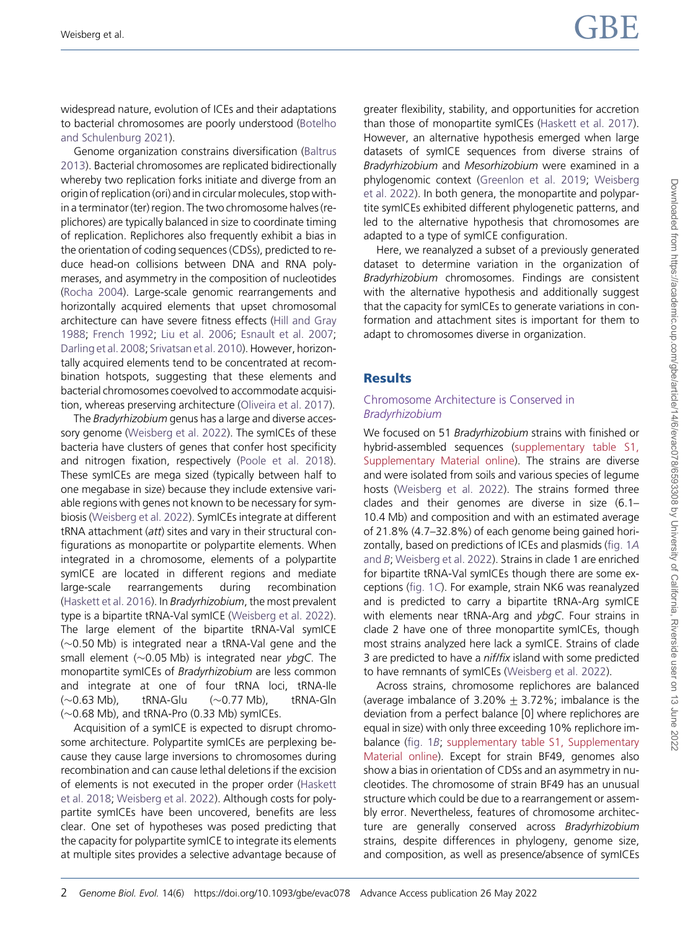widespread nature, evolution of ICEs and their adaptations to bacterial chromosomes are poorly understood [\(Botelho](#page-7-0) [and Schulenburg 2021](#page-7-0)).

Genome organization constrains diversification ([Baltrus](#page-7-0) [2013\)](#page-7-0). Bacterial chromosomes are replicated bidirectionally whereby two replication forks initiate and diverge from an origin of replication (ori) and in circular molecules, stop within a terminator (ter) region. The two chromosome halves (replichores) are typically balanced in size to coordinate timing of replication. Replichores also frequently exhibit a bias in the orientation of coding sequences (CDSs), predicted to reduce head-on collisions between DNA and RNA polymerases, and asymmetry in the composition of nucleotides [\(Rocha 2004\)](#page-7-0). Large-scale genomic rearrangements and horizontally acquired elements that upset chromosomal architecture can have severe fitness effects ([Hill and Gray](#page-7-0) [1988;](#page-7-0) [French 1992](#page-7-0); [Liu et al. 2006](#page-7-0); [Esnault et al. 2007](#page-7-0); [Darling et al. 2008;](#page-7-0) [Srivatsan et al. 2010\)](#page-7-0). However, horizontally acquired elements tend to be concentrated at recombination hotspots, suggesting that these elements and bacterial chromosomes coevolved to accommodate acquisition, whereas preserving architecture ([Oliveira et al. 2017\)](#page-7-0).

The Bradyrhizobium genus has a large and diverse accessory genome [\(Weisberg et al. 2022\)](#page-7-0). The symICEs of these bacteria have clusters of genes that confer host specificity and nitrogen fixation, respectively ([Poole et al. 2018\)](#page-7-0). These symICEs are mega sized (typically between half to one megabase in size) because they include extensive variable regions with genes not known to be necessary for symbiosis ([Weisberg et al. 2022](#page-7-0)). SymICEs integrate at different tRNA attachment (att) sites and vary in their structural configurations as monopartite or polypartite elements. When integrated in a chromosome, elements of a polypartite symICE are located in different regions and mediate large-scale rearrangements during recombination ([Haskett et al. 2016\)](#page-7-0). In Bradyrhizobium, the most prevalent type is a bipartite tRNA-Val symICE ([Weisberg et al. 2022\)](#page-7-0). The large element of the bipartite tRNA-Val symICE  $(\sim 0.50$  Mb) is integrated near a tRNA-Val gene and the small element ( $\sim$ 0.05 Mb) is integrated near ybgC. The monopartite symICEs of Bradyrhizobium are less common and integrate at one of four tRNA loci, tRNA-Ile  $(\sim 0.63 \text{ Mb})$ , tRNA-Glu  $(\sim 0.77 \text{ Mb})$ , tRNA-Gln  $(\sim 0.68$  Mb), and tRNA-Pro (0.33 Mb) symICEs.

Acquisition of a symICE is expected to disrupt chromosome architecture. Polypartite symICEs are perplexing because they cause large inversions to chromosomes during recombination and can cause lethal deletions if the excision of elements is not executed in the proper order ([Haskett](#page-7-0) [et al. 2018;](#page-7-0) [Weisberg et al. 2022](#page-7-0)). Although costs for polypartite symICEs have been uncovered, benefits are less clear. One set of hypotheses was posed predicting that the capacity for polypartite symICE to integrate its elements at multiple sites provides a selective advantage because of greater flexibility, stability, and opportunities for accretion than those of monopartite symICEs [\(Haskett et al. 2017](#page-7-0)). However, an alternative hypothesis emerged when large datasets of symICE sequences from diverse strains of Bradyrhizobium and Mesorhizobium were examined in a phylogenomic context ([Greenlon et al. 2019](#page-7-0); [Weisberg](#page-7-0) [et al. 2022\)](#page-7-0). In both genera, the monopartite and polypartite symICEs exhibited different phylogenetic patterns, and led to the alternative hypothesis that chromosomes are adapted to a type of symICE configuration.

Here, we reanalyzed a subset of a previously generated dataset to determine variation in the organization of Bradyrhizobium chromosomes. Findings are consistent with the alternative hypothesis and additionally suggest that the capacity for symICEs to generate variations in conformation and attachment sites is important for them to adapt to chromosomes diverse in organization.

#### **Results**

#### Chromosome Architecture is Conserved in Bradyrhizobium

We focused on 51 Bradyrhizobium strains with finished or hybrid-assembled sequences [\(supplementary table S1,](http://academic.oup.com/gbe/article-lookup/doi/10.1093/gbe/evac078#supplementary-data) [Supplementary Material online](http://academic.oup.com/gbe/article-lookup/doi/10.1093/gbe/evac078#supplementary-data)). The strains are diverse and were isolated from soils and various species of legume hosts ([Weisberg et al. 2022\)](#page-7-0). The strains formed three clades and their genomes are diverse in size (6.1– 10.4 Mb) and composition and with an estimated average of 21.8% (4.7–32.8%) of each genome being gained horizontally, based on predictions of ICEs and plasmids (fi[g. 1](#page-2-0)A [and](#page-2-0) B; [Weisberg et al. 2022](#page-7-0)). Strains in clade 1 are enriched for bipartite tRNA-Val symICEs though there are some exceptions (fi[g. 1](#page-2-0)C). For example, strain NK6 was reanalyzed and is predicted to carry a bipartite tRNA-Arg symICE with elements near tRNA-Arg and ybgC. Four strains in clade 2 have one of three monopartite symICEs, though most strains analyzed here lack a symICE. Strains of clade 3 are predicted to have a nif/fix island with some predicted to have remnants of symICEs ([Weisberg et al. 2022](#page-7-0)).

Across strains, chromosome replichores are balanced (average imbalance of 3.20%  $\pm$  3.72%; imbalance is the deviation from a perfect balance [0] where replichores are equal in size) with only three exceeding 10% replichore imbalance (fi[g. 1](#page-2-0)B; [supplementary table S1, Supplementary](http://academic.oup.com/gbe/article-lookup/doi/10.1093/gbe/evac078#supplementary-data) [Material online\)](http://academic.oup.com/gbe/article-lookup/doi/10.1093/gbe/evac078#supplementary-data). Except for strain BF49, genomes also show a bias in orientation of CDSs and an asymmetry in nucleotides. The chromosome of strain BF49 has an unusual structure which could be due to a rearrangement or assembly error. Nevertheless, features of chromosome architecture are generally conserved across Bradyrhizobium strains, despite differences in phylogeny, genome size, and composition, as well as presence/absence of symICEs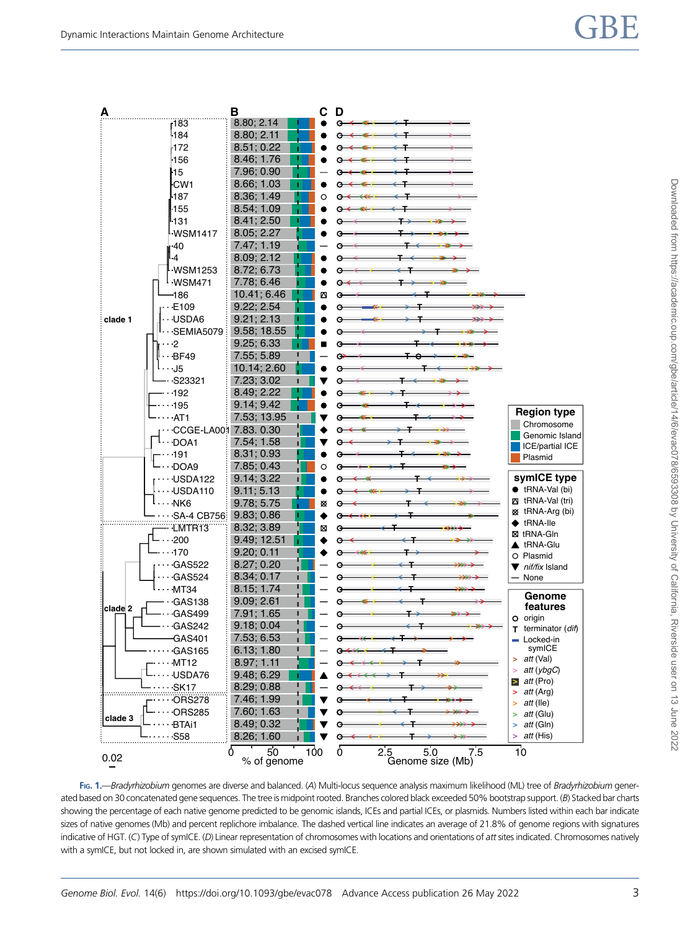<span id="page-2-0"></span>

FIG. 1.—Bradyrhizobium genomes are diverse and balanced. (A) Multi-locus sequence analysis maximum likelihood (ML) tree of Bradyrhizobium generated based on 30 concatenated gene sequences. The tree is midpoint rooted. Branches colored black exceeded 50% bootstrap support. (B) Stacked bar charts showing the percentage of each native genome predicted to be genomic islands, ICEs and partial ICEs, or plasmids. Numbers listed within each bar indicate sizes of native genomes (Mb) and percent replichore imbalance. The dashed vertical line indicates an average of 21.8% of genome regions with signatures indicative of HGT. (C) Type of symICE. (D) Linear representation of chromosomes with locations and orientations of att sites indicated. Chromosomes natively with a symICE, but not locked in, are shown simulated with an excised symICE.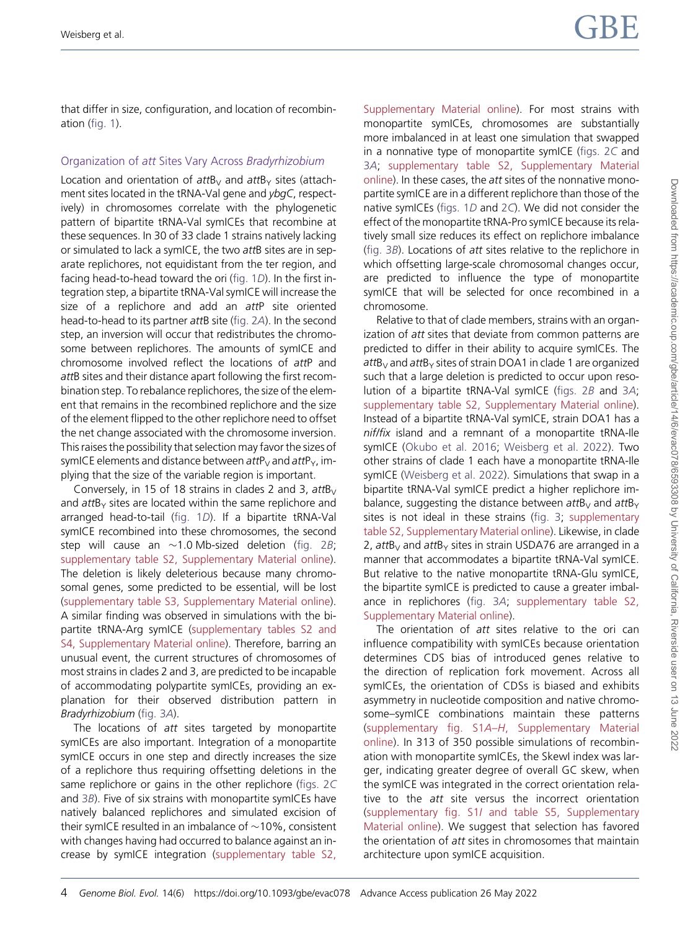that differ in size, configuration, and location of recombination (fi[g. 1\)](#page-2-0).

### Organization of att Sites Vary Across Bradyrhizobium

Location and orientation of  $attB<sub>V</sub>$  and  $attB<sub>V</sub>$  sites (attachment sites located in the tRNA-Val gene and ybgC, respectively) in chromosomes correlate with the phylogenetic pattern of bipartite tRNA-Val symICEs that recombine at these sequences. In 30 of 33 clade 1 strains natively lacking or simulated to lack a symICE, the two attB sites are in separate replichores, not equidistant from the ter region, and facing head-to-head toward the ori (fi[g. 1](#page-2-0)D). In the first integration step, a bipartite tRNA-Val symICE will increase the size of a replichore and add an attP site oriented head-to-head to its partner attB site (fi[g. 2](#page-4-0)A). In the second step, an inversion will occur that redistributes the chromosome between replichores. The amounts of symICE and chromosome involved reflect the locations of attP and attB sites and their distance apart following the first recombination step. To rebalance replichores, the size of the element that remains in the recombined replichore and the size of the element flipped to the other replichore need to offset the net change associated with the chromosome inversion. This raises the possibility that selection may favor the sizes of symICE elements and distance between  $attP_V$  and  $attP_Y$ , implying that the size of the variable region is important.

Conversely, in 15 of 18 strains in clades 2 and 3,  $attb<sub>V</sub>$ and  $attB<sub>Y</sub>$  sites are located within the same replichore and arranged head-to-tail (fi[g. 1](#page-2-0)D). If a bipartite tRNA-Val symICE recombined into these chromosomes, the second step will cause an  $\sim$ 1.0 Mb-sized deletion (fi[g. 2](#page-4-0)B; [supplementary table S2, Supplementary Material online\)](http://academic.oup.com/gbe/article-lookup/doi/10.1093/gbe/evac078#supplementary-data). The deletion is likely deleterious because many chromosomal genes, some predicted to be essential, will be lost ([supplementary table S3, Supplementary Material online\)](http://academic.oup.com/gbe/article-lookup/doi/10.1093/gbe/evac078#supplementary-data). A similar finding was observed in simulations with the bipartite tRNA-Arg symICE ([supplementary tables S2 and](http://academic.oup.com/gbe/article-lookup/doi/10.1093/gbe/evac078#supplementary-data) [S4, Supplementary Material online](http://academic.oup.com/gbe/article-lookup/doi/10.1093/gbe/evac078#supplementary-data)). Therefore, barring an unusual event, the current structures of chromosomes of most strains in clades 2 and 3, are predicted to be incapable of accommodating polypartite symICEs, providing an explanation for their observed distribution pattern in Bradyrhizobium (fi[g. 3](#page-5-0)A).

The locations of att sites targeted by monopartite symICEs are also important. Integration of a monopartite symICE occurs in one step and directly increases the size of a replichore thus requiring offsetting deletions in the same replichore or gains in the other replichore (fi[gs. 2](#page-4-0)C and 3[B](#page-5-0)). Five of six strains with monopartite symICEs have natively balanced replichores and simulated excision of their symICE resulted in an imbalance of  $\sim$ 10%, consistent with changes having had occurred to balance against an increase by symICE integration [\(supplementary table S2,](http://academic.oup.com/gbe/article-lookup/doi/10.1093/gbe/evac078#supplementary-data) [Supplementary Material online\)](http://academic.oup.com/gbe/article-lookup/doi/10.1093/gbe/evac078#supplementary-data). For most strains with monopartite symICEs, chromosomes are substantially more imbalanced in at least one simulation that swapped in a nonnative type of monopartite symICE (fi[gs. 2](#page-4-0)C and 3[A](#page-5-0); [supplementary table S2, Supplementary Material](http://academic.oup.com/gbe/article-lookup/doi/10.1093/gbe/evac078#supplementary-data) [online](http://academic.oup.com/gbe/article-lookup/doi/10.1093/gbe/evac078#supplementary-data)). In these cases, the att sites of the nonnative monopartite symICE are in a different replichore than those of the native symICEs (fi[gs. 1](#page-2-0)D and 2[C](#page-4-0)). We did not consider the effect of the monopartite tRNA-Pro symICE because its relatively small size reduces its effect on replichore imbalance (fi[g. 3](#page-5-0)B). Locations of att sites relative to the replichore in which offsetting large-scale chromosomal changes occur, are predicted to influence the type of monopartite symICE that will be selected for once recombined in a chromosome.

Relative to that of clade members, strains with an organization of att sites that deviate from common patterns are predicted to differ in their ability to acquire symICEs. The  $attB<sub>V</sub>$  and att $B<sub>Y</sub>$  sites of strain DOA1 in clade 1 are organized such that a large deletion is predicted to occur upon resolution of a bipartite tRNA-Val symICE (fi[gs. 2](#page-4-0)B and 3[A](#page-5-0); [supplementary table S2, Supplementary Material online](http://academic.oup.com/gbe/article-lookup/doi/10.1093/gbe/evac078#supplementary-data)). Instead of a bipartite tRNA-Val symICE, strain DOA1 has a nif/fix island and a remnant of a monopartite tRNA-Ile symICE [\(Okubo et al. 2016;](#page-7-0) [Weisberg et al. 2022\)](#page-7-0). Two other strains of clade 1 each have a monopartite tRNA-Ile symICE ([Weisberg et al. 2022](#page-7-0)). Simulations that swap in a bipartite tRNA-Val symICE predict a higher replichore imbalance, suggesting the distance between att $B_V$  and att $B_V$ sites is not ideal in these strains (fi[g. 3;](#page-5-0) [supplementary](http://academic.oup.com/gbe/article-lookup/doi/10.1093/gbe/evac078#supplementary-data) [table S2, Supplementary Material online\)](http://academic.oup.com/gbe/article-lookup/doi/10.1093/gbe/evac078#supplementary-data). Likewise, in clade 2,  $attB<sub>V</sub>$  and  $attB<sub>V</sub>$  sites in strain USDA76 are arranged in a manner that accommodates a bipartite tRNA-Val symICE. But relative to the native monopartite tRNA-Glu symICE, the bipartite symICE is predicted to cause a greater imbalance in replichores (fi[g. 3](#page-5-0)A; [supplementary table S2,](http://academic.oup.com/gbe/article-lookup/doi/10.1093/gbe/evac078#supplementary-data) [Supplementary Material online](http://academic.oup.com/gbe/article-lookup/doi/10.1093/gbe/evac078#supplementary-data)).

The orientation of att sites relative to the ori can influence compatibility with symICEs because orientation determines CDS bias of introduced genes relative to the direction of replication fork movement. Across all symICEs, the orientation of CDSs is biased and exhibits asymmetry in nucleotide composition and native chromosome–symICE combinations maintain these patterns (supplementary fig. S1A–H[, Supplementary Material](http://academic.oup.com/gbe/article-lookup/doi/10.1093/gbe/evac078#supplementary-data) [online\)](http://academic.oup.com/gbe/article-lookup/doi/10.1093/gbe/evac078#supplementary-data). In 313 of 350 possible simulations of recombination with monopartite symICEs, the SkewI index was larger, indicating greater degree of overall GC skew, when the symICE was integrated in the correct orientation relative to the att site versus the incorrect orientation (supplementary fig. S1I [and table S5, Supplementary](http://academic.oup.com/gbe/article-lookup/doi/10.1093/gbe/evac078#supplementary-data) [Material online](http://academic.oup.com/gbe/article-lookup/doi/10.1093/gbe/evac078#supplementary-data)). We suggest that selection has favored the orientation of att sites in chromosomes that maintain architecture upon symICE acquisition.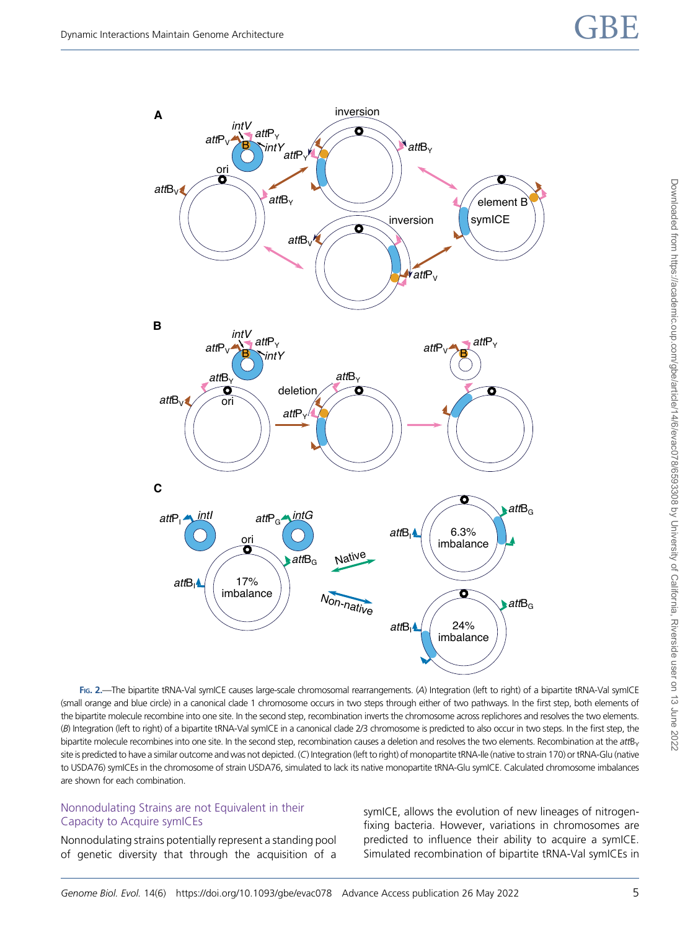<span id="page-4-0"></span>

Downloaded from https://academic.oup.com/gbe/article/14/6/evac078/6593308 by University of California, Riverside user on 13 June 2022 Downloaded from https://academic.oup.com/gbe/article/14/6/evac078/6593308 by University of California, Riverside user on 13 June 2022

FIG. 2.—The bipartite tRNA-Val symICE causes large-scale chromosomal rearrangements. (A) Integration (left to right) of a bipartite tRNA-Val symICE (small orange and blue circle) in a canonical clade 1 chromosome occurs in two steps through either of two pathways. In the first step, both elements of the bipartite molecule recombine into one site. In the second step, recombination inverts the chromosome across replichores and resolves the two elements. (B) Integration (left to right) of a bipartite tRNA-Val symICE in a canonical clade 2/3 chromosome is predicted to also occur in two steps. In the first step, the bipartite molecule recombines into one site. In the second step, recombination causes a deletion and resolves the two elements. Recombination at the attB<sub>Y</sub> site is predicted to have a similar outcome and was not depicted. (C) Integration (left to right) of monopartite tRNA-Ile (native to strain 170) or tRNA-Glu (native to USDA76) symICEs in the chromosome of strain USDA76, simulated to lack its native monopartite tRNA-Glu symICE. Calculated chromosome imbalances are shown for each combination.

#### Nonnodulating Strains are not Equivalent in their Capacity to Acquire symICEs

Nonnodulating strains potentially represent a standing pool of genetic diversity that through the acquisition of a symICE, allows the evolution of new lineages of nitrogenfixing bacteria. However, variations in chromosomes are predicted to influence their ability to acquire a symICE. Simulated recombination of bipartite tRNA-Val symICEs in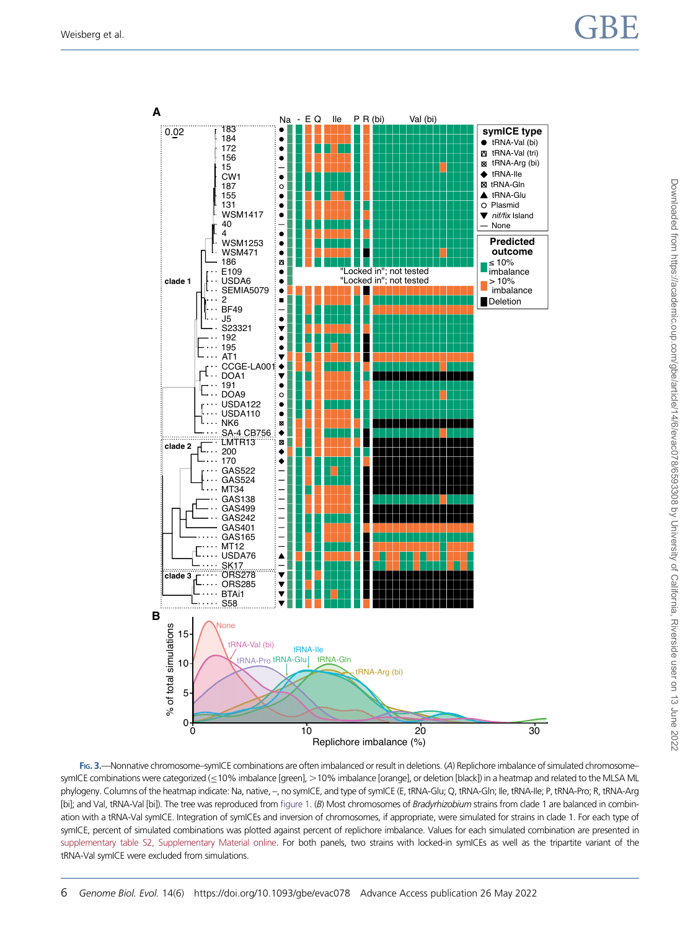<span id="page-5-0"></span>

FIG. 3.—Nonnative chromosome–symICE combinations are often imbalanced or result in deletions. (A) Replichore imbalance of simulated chromosome– symICE combinations were categorized (≤10% imbalance [green], >10% imbalance [orange], or deletion [black]) in a heatmap and related to the MLSA ML phylogeny. Columns of the heatmap indicate: Na, native, –, no symICE, and type of symICE (E, tRNA-Glu; Q, tRNA-Gln; Ile, tRNA-Ile; P, tRNA-Pro; R, tRNA-Arg [bi]; and Val, tRNA-Val [bi]). The tree was reproduced from fi[gure 1](#page-2-0). (B) Most chromosomes of Bradyrhizobium strains from clade 1 are balanced in combination with a tRNA-Val symICE. Integration of symICEs and inversion of chromosomes, if appropriate, were simulated for strains in clade 1. For each type of symICE, percent of simulated combinations was plotted against percent of replichore imbalance. Values for each simulated combination are presented in [supplementary table S2, Supplementary Material online.](http://academic.oup.com/gbe/article-lookup/doi/10.1093/gbe/evac078#supplementary-data) For both panels, two strains with locked-in symICEs as well as the tripartite variant of the tRNA-Val symICE were excluded from simulations.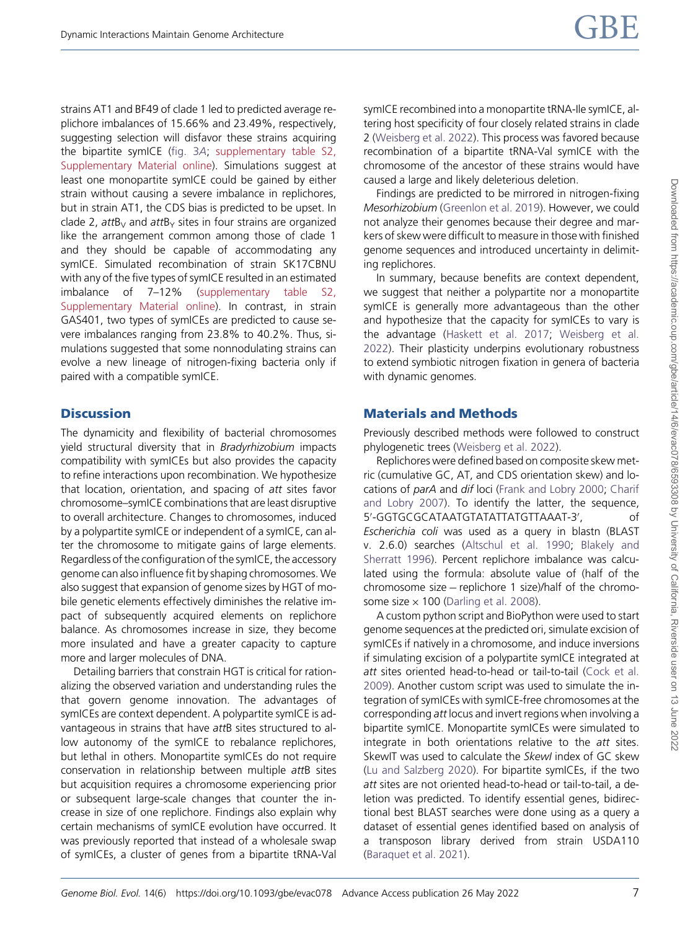strains AT1 and BF49 of clade 1 led to predicted average replichore imbalances of 15.66% and 23.49%, respectively, suggesting selection will disfavor these strains acquiring the bipartite symICE (fi[g. 3](#page-5-0)A; [supplementary table S2,](http://academic.oup.com/gbe/article-lookup/doi/10.1093/gbe/evac078#supplementary-data) [Supplementary Material online\)](http://academic.oup.com/gbe/article-lookup/doi/10.1093/gbe/evac078#supplementary-data). Simulations suggest at least one monopartite symICE could be gained by either strain without causing a severe imbalance in replichores, but in strain AT1, the CDS bias is predicted to be upset. In clade 2, attB<sub>V</sub> and attB<sub>Y</sub> sites in four strains are organized like the arrangement common among those of clade 1 and they should be capable of accommodating any symICE. Simulated recombination of strain SK17CBNU with any of the five types of symICE resulted in an estimated imbalance of 7–12% ([supplementary table S2,](http://academic.oup.com/gbe/article-lookup/doi/10.1093/gbe/evac078#supplementary-data) [Supplementary Material online\)](http://academic.oup.com/gbe/article-lookup/doi/10.1093/gbe/evac078#supplementary-data). In contrast, in strain GAS401, two types of symICEs are predicted to cause severe imbalances ranging from 23.8% to 40.2%. Thus, simulations suggested that some nonnodulating strains can evolve a new lineage of nitrogen-fixing bacteria only if paired with a compatible symICE.

## **Discussion**

The dynamicity and flexibility of bacterial chromosomes yield structural diversity that in Bradyrhizobium impacts compatibility with symICEs but also provides the capacity to refine interactions upon recombination. We hypothesize that location, orientation, and spacing of att sites favor chromosome–symICE combinations that are least disruptive to overall architecture. Changes to chromosomes, induced by a polypartite symICE or independent of a symICE, can alter the chromosome to mitigate gains of large elements. Regardless of the configuration of the symICE, the accessory genome can also influence fit by shaping chromosomes. We also suggest that expansion of genome sizes by HGT of mobile genetic elements effectively diminishes the relative impact of subsequently acquired elements on replichore balance. As chromosomes increase in size, they become more insulated and have a greater capacity to capture more and larger molecules of DNA.

Detailing barriers that constrain HGT is critical for rationalizing the observed variation and understanding rules the that govern genome innovation. The advantages of symICEs are context dependent. A polypartite symICE is advantageous in strains that have attB sites structured to allow autonomy of the symICE to rebalance replichores, but lethal in others. Monopartite symICEs do not require conservation in relationship between multiple attB sites but acquisition requires a chromosome experiencing prior or subsequent large-scale changes that counter the increase in size of one replichore. Findings also explain why certain mechanisms of symICE evolution have occurred. It was previously reported that instead of a wholesale swap of symICEs, a cluster of genes from a bipartite tRNA-Val

symICE recombined into a monopartite tRNA-Ile symICE, altering host specificity of four closely related strains in clade 2 ([Weisberg et al. 2022\)](#page-7-0). This process was favored because recombination of a bipartite tRNA-Val symICE with the chromosome of the ancestor of these strains would have caused a large and likely deleterious deletion.

Findings are predicted to be mirrored in nitrogen-fixing Mesorhizobium [\(Greenlon et al. 2019\)](#page-7-0). However, we could not analyze their genomes because their degree and markers of skew were difficult to measure in those with finished genome sequences and introduced uncertainty in delimiting replichores.

In summary, because benefits are context dependent, we suggest that neither a polypartite nor a monopartite symICE is generally more advantageous than the other and hypothesize that the capacity for symICEs to vary is the advantage ([Haskett et al. 2017;](#page-7-0) [Weisberg et al.](#page-7-0) [2022\)](#page-7-0). Their plasticity underpins evolutionary robustness to extend symbiotic nitrogen fixation in genera of bacteria with dynamic genomes.

## Materials and Methods

Previously described methods were followed to construct phylogenetic trees ([Weisberg et al. 2022](#page-7-0)).

Replichores were defined based on composite skew metric (cumulative GC, AT, and CDS orientation skew) and locations of parA and dif loci [\(Frank and Lobry 2000](#page-7-0); [Charif](#page-7-0) [and Lobry 2007](#page-7-0)). To identify the latter, the sequence, 5′ -GGTGCGCATAATGTATATTATGTTAAAT-3′ , of Escherichia coli was used as a query in blastn (BLAST v. 2.6.0) searches [\(Altschul et al. 1990;](#page-7-0) [Blakely and](#page-7-0) [Sherratt 1996\)](#page-7-0). Percent replichore imbalance was calculated using the formula: absolute value of (half of the chromosome size − replichore 1 size)/half of the chromosome size  $\times$  100 [\(Darling et al. 2008\)](#page-7-0).

A custom python script and BioPython were used to start genome sequences at the predicted ori, simulate excision of symICEs if natively in a chromosome, and induce inversions if simulating excision of a polypartite symICE integrated at att sites oriented head-to-head or tail-to-tail [\(Cock et al.](#page-7-0) [2009\)](#page-7-0). Another custom script was used to simulate the integration of symICEs with symICE-free chromosomes at the corresponding att locus and invert regions when involving a bipartite symICE. Monopartite symICEs were simulated to integrate in both orientations relative to the att sites. SkewIT was used to calculate the SkewI index of GC skew [\(Lu and Salzberg 2020\)](#page-7-0). For bipartite symICEs, if the two att sites are not oriented head-to-head or tail-to-tail, a deletion was predicted. To identify essential genes, bidirectional best BLAST searches were done using as a query a dataset of essential genes identified based on analysis of a transposon library derived from strain USDA110 [\(Baraquet et al. 2021](#page-7-0)).